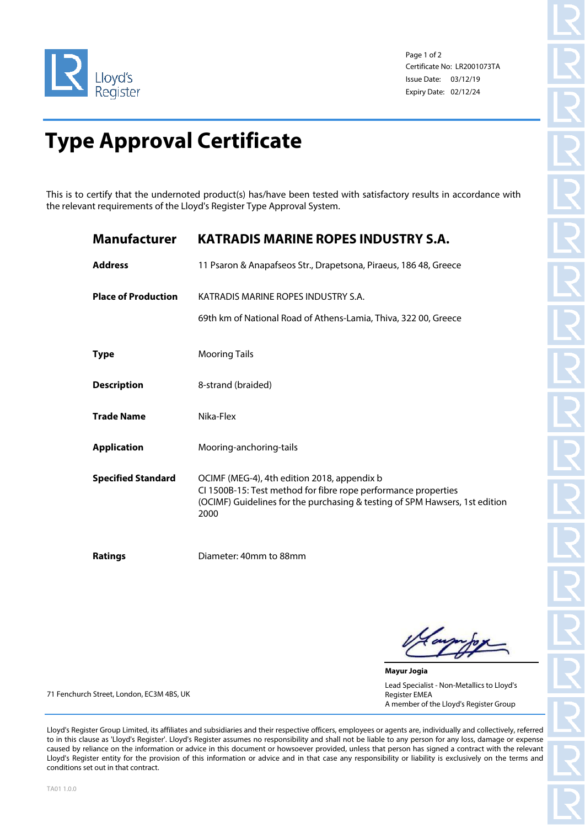

Page 1 of 2 Certificate No: LR2001073TA Issue Date: 03/12/19 Expiry Date: 02/12/24

## **Type Approval Certificate**

This is to certify that the undernoted product(s) has/have been tested with satisfactory results in accordance with the relevant requirements of the Lloyd's Register Type Approval System.

| <b>Manufacturer</b>        | <b>KATRADIS MARINE ROPES INDUSTRY S.A.</b>                                                                                                                                                           |
|----------------------------|------------------------------------------------------------------------------------------------------------------------------------------------------------------------------------------------------|
| <b>Address</b>             | 11 Psaron & Anapafseos Str., Drapetsona, Piraeus, 186 48, Greece                                                                                                                                     |
| <b>Place of Production</b> | KATRADIS MARINE ROPES INDUSTRY S.A.<br>69th km of National Road of Athens-Lamia, Thiva, 322 00, Greece                                                                                               |
| <b>Type</b>                | <b>Mooring Tails</b>                                                                                                                                                                                 |
| <b>Description</b>         | 8-strand (braided)                                                                                                                                                                                   |
| <b>Trade Name</b>          | Nika-Flex                                                                                                                                                                                            |
| <b>Application</b>         | Mooring-anchoring-tails                                                                                                                                                                              |
| <b>Specified Standard</b>  | OCIMF (MEG-4), 4th edition 2018, appendix b<br>CI 1500B-15: Test method for fibre rope performance properties<br>(OCIMF) Guidelines for the purchasing & testing of SPM Hawsers, 1st edition<br>2000 |
| <b>Ratings</b>             | Diameter: 40mm to 88mm                                                                                                                                                                               |

**Mayur Jogia** Lead Specialist - Non-Metallics to Lloyd's Register EMEA A member of the Lloyd's Register Group

71 Fenchurch Street, London, EC3M 4BS, UK

Lloyd's Register Group Limited, its affiliates and subsidiaries and their respective officers, employees or agents are, individually and collectively, referred to in this clause as 'Lloyd's Register'. Lloyd's Register assumes no responsibility and shall not be liable to any person for any loss, damage or expense caused by reliance on the information or advice in this document or howsoever provided, unless that person has signed a contract with the relevant Lloyd's Register entity for the provision of this information or advice and in that case any responsibility or liability is exclusively on the terms and conditions set out in that contract.